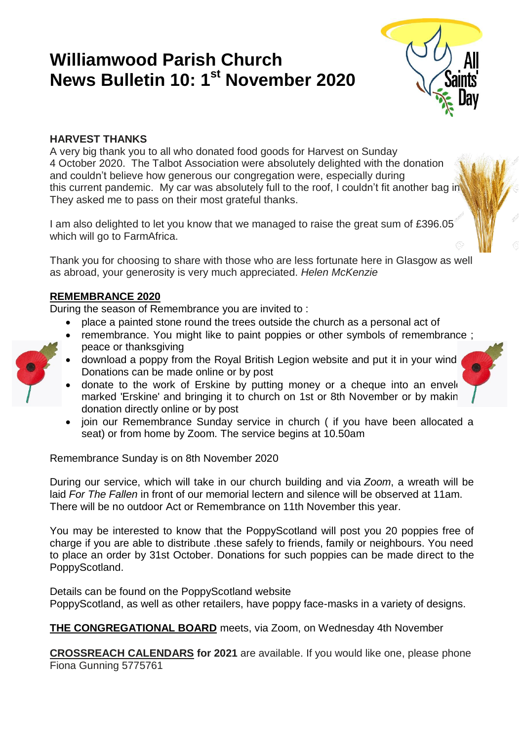# **Williamwood Parish Church News Bulletin 10: 1st November 2020**



# **HARVEST THANKS**

A very big thank you to all who donated food goods for Harvest on Sunday 4 October 2020. The Talbot Association were absolutely delighted with the donation and couldn't believe how generous our congregation were, especially during this current pandemic. My car was absolutely full to the roof, I couldn't fit another bag in They asked me to pass on their most grateful thanks.

I am also delighted to let you know that we managed to raise the great sum of £396.05 which will go to FarmAfrica.

Thank you for choosing to share with those who are less fortunate here in Glasgow as well as abroad, your generosity is very much appreciated. *Helen McKenzie*

# **REMEMBRANCE 2020**

During the season of Remembrance you are invited to :

- place a painted stone round the trees outside the church as a personal act of
- remembrance. You might like to paint poppies or other symbols of remembrance ; peace or thanksgiving
- download a poppy from the Royal British Legion website and put it in your wind Donations can be made online or by post



- donate to the work of Erskine by putting money or a cheque into an envelo marked 'Erskine' and bringing it to church on 1st or 8th November or by makin donation directly online or by post
- join our Remembrance Sunday service in church ( if you have been allocated a seat) or from home by Zoom. The service begins at 10.50am

Remembrance Sunday is on 8th November 2020

During our service, which will take in our church building and via *Zoom*, a wreath will be laid *For The Fallen* in front of our memorial lectern and silence will be observed at 11am. There will be no outdoor Act or Remembrance on 11th November this year.

You may be interested to know that the PoppyScotland will post you 20 poppies free of charge if you are able to distribute .these safely to friends, family or neighbours. You need to place an order by 31st October. Donations for such poppies can be made direct to the PoppyScotland.

Details can be found on the PoppyScotland website PoppyScotland, as well as other retailers, have poppy face-masks in a variety of designs.

**THE CONGREGATIONAL BOARD** meets, via Zoom, on Wednesday 4th November

**CROSSREACH CALENDARS for 2021** are available. If you would like one, please phone Fiona Gunning 5775761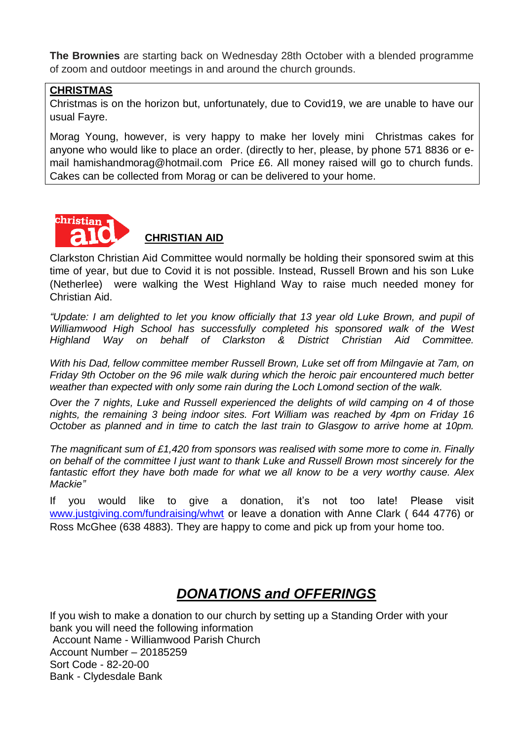**The Brownies** are starting back on Wednesday 28th October with a blended programme of zoom and outdoor meetings in and around the church grounds.

#### **CHRISTMAS**

Christmas is on the horizon but, unfortunately, due to Covid19, we are unable to have our usual Fayre.

Morag Young, however, is very happy to make her lovely mini Christmas cakes for anyone who would like to place an order. (directly to her, please, by phone 571 8836 or email hamishandmorag@hotmail.com Price £6. All money raised will go to church funds. Cakes can be collected from Morag or can be delivered to your home.



# **CHRISTIAN AID**

Clarkston Christian Aid Committee would normally be holding their sponsored swim at this time of year, but due to Covid it is not possible. Instead, Russell Brown and his son Luke (Netherlee) were walking the West Highland Way to raise much needed money for Christian Aid.

*"Update: I am delighted to let you know officially that 13 year old Luke Brown, and pupil of Williamwood High School has successfully completed his sponsored walk of the West Highland Way on behalf of Clarkston & District Christian Aid Committee.*

*With his Dad, fellow committee member Russell Brown, Luke set off from Milngavie at 7am, on Friday 9th October on the 96 mile walk during which the heroic pair encountered much better weather than expected with only some rain during the Loch Lomond section of the walk.*

*Over the 7 nights, Luke and Russell experienced the delights of wild camping on 4 of those nights, the remaining 3 being indoor sites. Fort William was reached by 4pm on Friday 16 October as planned and in time to catch the last train to Glasgow to arrive home at 10pm.*

*The magnificant sum of £1,420 from sponsors was realised with some more to come in. Finally on behalf of the committee I just want to thank Luke and Russell Brown most sincerely for the fantastic effort they have both made for what we all know to be a very worthy cause. Alex Mackie"*

If you would like to give a donation, it's not too late! Please visit [www.justgiving.com/fundraising/whwt](file:///C:/Users/evely_000/Documents/church/Order%20of%20Service/2020/October/www.justgiving.com/fundraising/whwt) or leave a donation with Anne Clark (644 4776) or Ross McGhee (638 4883). They are happy to come and pick up from your home too.

# *DONATIONS and OFFERINGS*

If you wish to make a donation to our church by setting up a Standing Order with your bank you will need the following information Account Name - Williamwood Parish Church Account Number – 20185259 Sort Code - 82-20-00 Bank - Clydesdale Bank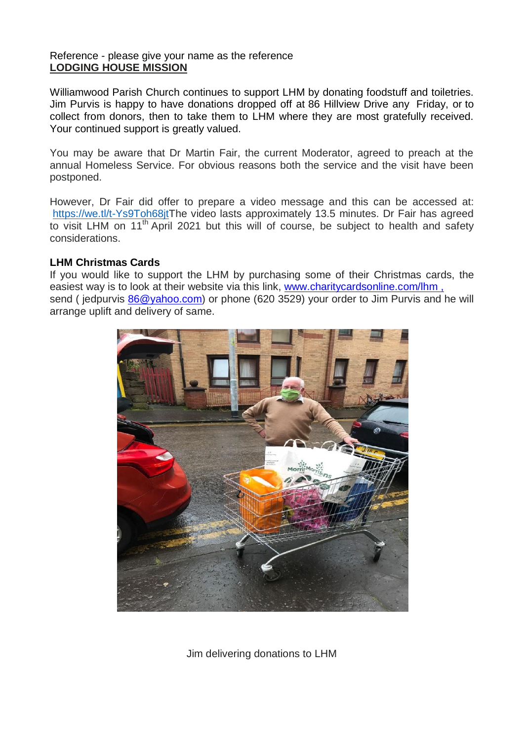#### Reference - please give your name as the reference **LODGING HOUSE MISSION**

Williamwood Parish Church continues to support LHM by donating foodstuff and toiletries. Jim Purvis is happy to have donations dropped off at 86 Hillview Drive any Friday, or to collect from donors, then to take them to LHM where they are most gratefully received. Your continued support is greatly valued.

You may be aware that Dr Martin Fair, the current Moderator, agreed to preach at the annual Homeless Service. For obvious reasons both the service and the visit have been postponed.

However, Dr Fair did offer to prepare a video message and this can be accessed at: [https://we.tl/t-Ys9Toh68jtT](https://we.tl/t-Ys9Toh68jt)he video lasts approximately 13.5 minutes. Dr Fair has agreed to visit LHM on 11<sup>th</sup> April 2021 but this will of course, be subject to health and safety considerations.

#### **LHM Christmas Cards**

If you would like to support the LHM by purchasing some of their Christmas cards, the easiest way is to look at their website via this link, [www.charitycardsonline.com/lhm](http://www.charitycardsonline.com/lhm), send ( jedpurvis [86@yahoo.com\)](mailto:86@yahoo.com) or phone (620 3529) your order to Jim Purvis and he will arrange uplift and delivery of same.



Jim delivering donations to LHM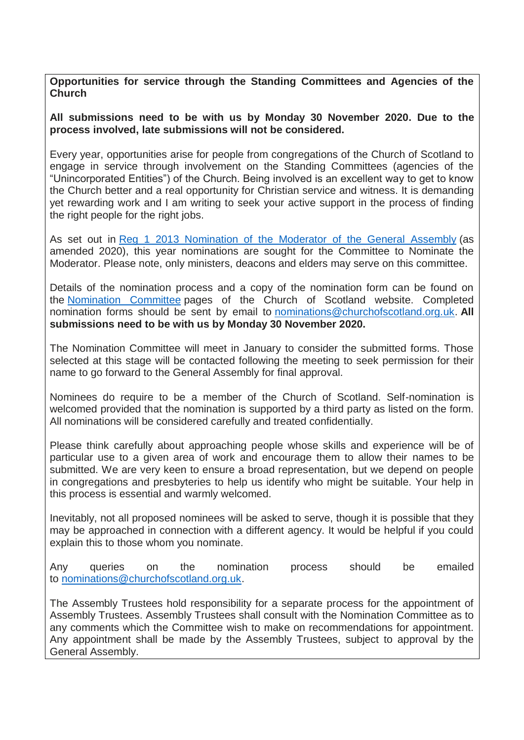**Opportunities for service through the Standing Committees and Agencies of the Church**

#### **All submissions need to be with us by Monday 30 November 2020. Due to the process involved, late submissions will not be considered.**

Every year, opportunities arise for people from congregations of the Church of Scotland to engage in service through involvement on the Standing Committees (agencies of the "Unincorporated Entities") of the Church. Being involved is an excellent way to get to know the Church better and a real opportunity for Christian service and witness. It is demanding yet rewarding work and I am writing to seek your active support in the process of finding the right people for the right jobs.

As set out in Reg 1 2013 [Nomination](https://www.churchofscotland.org.uk/__data/assets/pdf_file/0008/66788/2013-Reg-01-amended-to-May-2020.pdf) of the Moderator of the General Assembly (as amended 2020), this year nominations are sought for the Committee to Nominate the Moderator. Please note, only ministers, deacons and elders may serve on this committee.

Details of the nomination process and a copy of the nomination form can be found on the [Nomination](https://www.churchofscotland.org.uk/about-us/councils-committees-and-departments/committees/nomination-committee) Committee pages of the Church of Scotland website. Completed nomination forms should be sent by email to [nominations@churchofscotland.org.uk.](mailto:nominations@churchofscotland.org.uk) **All submissions need to be with us by Monday 30 November 2020.**

The Nomination Committee will meet in January to consider the submitted forms. Those selected at this stage will be contacted following the meeting to seek permission for their name to go forward to the General Assembly for final approval.

Nominees do require to be a member of the Church of Scotland. Self-nomination is welcomed provided that the nomination is supported by a third party as listed on the form. All nominations will be considered carefully and treated confidentially.

Please think carefully about approaching people whose skills and experience will be of particular use to a given area of work and encourage them to allow their names to be submitted. We are very keen to ensure a broad representation, but we depend on people in congregations and presbyteries to help us identify who might be suitable. Your help in this process is essential and warmly welcomed.

Inevitably, not all proposed nominees will be asked to serve, though it is possible that they may be approached in connection with a different agency. It would be helpful if you could explain this to those whom you nominate.

Any queries on the nomination process should be emailed to [nominations@churchofscotland.org.uk.](mailto:nominations@churchofscotland.org.uk)

The Assembly Trustees hold responsibility for a separate process for the appointment of Assembly Trustees. Assembly Trustees shall consult with the Nomination Committee as to any comments which the Committee wish to make on recommendations for appointment. Any appointment shall be made by the Assembly Trustees, subject to approval by the General Assembly.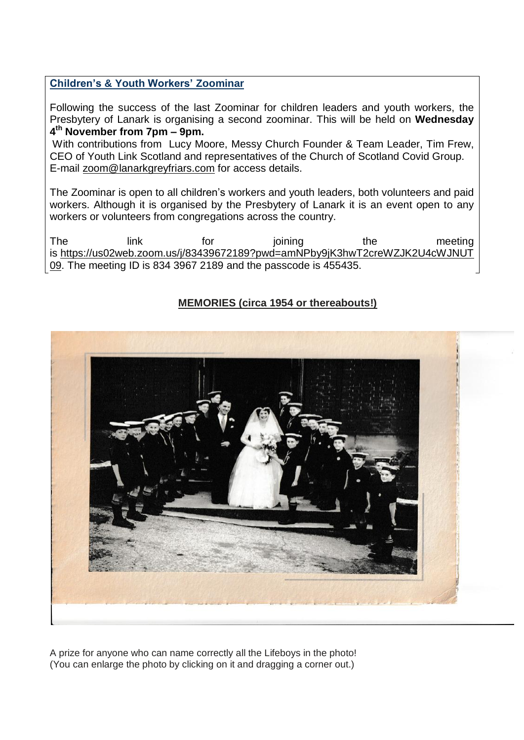#### **Children's & Youth Workers' Zoominar**

Following the success of the last Zoominar for children leaders and youth workers, the Presbytery of Lanark is organising a second zoominar. This will be held on **Wednesday 4 th November from 7pm – 9pm.**

With contributions from Lucy Moore, Messy Church Founder & Team Leader, Tim Frew, CEO of Youth Link Scotland and representatives of the Church of Scotland Covid Group. E-mail [zoom@lanarkgreyfriars.com](mailto:zoom@lanarkgreyfriars.com) for access details.

The Zoominar is open to all children's workers and youth leaders, both volunteers and paid workers. Although it is organised by the Presbytery of Lanark it is an event open to any workers or volunteers from congregations across the country.

The link for joining the meeting is [https://us02web.zoom.us/j/83439672189?pwd=amNPby9jK3hwT2creWZJK2U4cWJNUT](https://us02web.zoom.us/j/83439672189?pwd=amNPby9jK3hwT2creWZJK2U4cWJNUT09) [09.](https://us02web.zoom.us/j/83439672189?pwd=amNPby9jK3hwT2creWZJK2U4cWJNUT09) The meeting ID is 834 3967 2189 and the passcode is 455435.

# **MEMORIES (circa 1954 or thereabouts!)**



A prize for anyone who can name correctly all the Lifeboys in the photo! (You can enlarge the photo by clicking on it and dragging a corner out.)